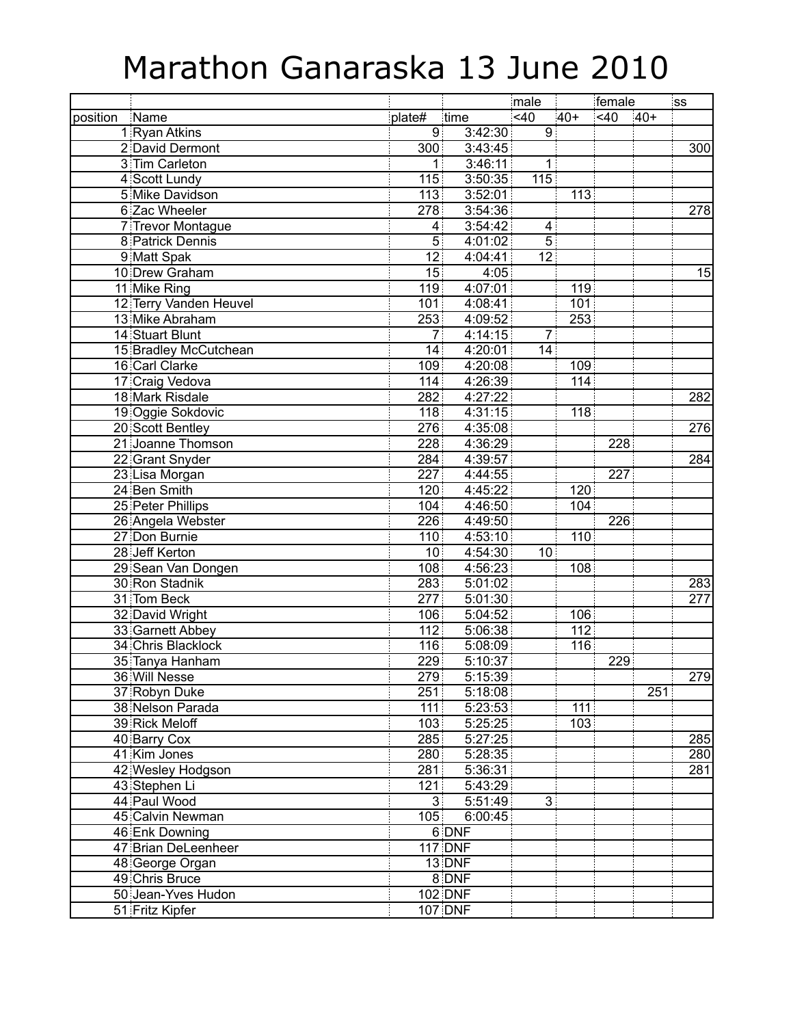## Marathon Ganaraska 13 June 2010

|          |                                  |                         |                    | male            |                  | female |       | <b>SS</b>        |
|----------|----------------------------------|-------------------------|--------------------|-----------------|------------------|--------|-------|------------------|
| position | Name                             | plate#                  | time               | <40             | $40+$            | $<$ 40 | $40+$ |                  |
|          | 1 Ryan Atkins                    | 9 <sup>1</sup>          | 3:42:30            | 9               |                  |        |       |                  |
|          | 2 David Dermont                  | $\overline{3}00$        | 3:43:45            |                 |                  |        |       | $\overline{300}$ |
|          | 3 Tim Carleton                   | 1                       | 3:46:11            | 1               |                  |        |       |                  |
|          | 4 Scott Lundy                    | 115                     | 3:50:35            | 115             |                  |        |       |                  |
|          | 5 Mike Davidson                  | 113                     | 3:52:01            |                 | 113              |        |       |                  |
|          | 6 Zac Wheeler                    | 278                     | 3:54:36            |                 |                  |        |       | 278              |
|          | 7 Trevor Montague                | $\overline{\mathbf{4}}$ | 3:54:42            | 4               |                  |        |       |                  |
|          | 8 Patrick Dennis                 | $\overline{5}$          | 4:01:02            | $\overline{5}$  |                  |        |       |                  |
|          | 9 Matt Spak                      | 12 <sub>1</sub>         | 4:04:41            | $\overline{12}$ |                  |        |       |                  |
|          | 10 Drew Graham                   | 15 <sub>1</sub>         | 4:05               |                 |                  |        |       | 15               |
|          | 11 Mike Ring                     | 119                     | 4:07:01            |                 | 119              |        |       |                  |
|          | 12 Terry Vanden Heuvel           | 101                     | 4:08:41            |                 | 101              |        |       |                  |
|          | 13 Mike Abraham                  | 253                     | 4:09:52            |                 | $\overline{253}$ |        |       |                  |
|          | 14 Stuart Blunt                  | $\overline{7}$          | 4:14:15            | $\overline{7}$  |                  |        |       |                  |
|          | 15 Bradley McCutchean            | 14                      | 4:20:01            | 14              |                  |        |       |                  |
|          | 16 Carl Clarke                   | 109                     | 4:20:08            |                 | 109              |        |       |                  |
|          | 17 Craig Vedova                  | 114                     | 4:26:39            |                 | 114              |        |       |                  |
|          | 18 Mark Risdale                  | 282                     | 4:27:22            |                 |                  |        |       | 282              |
|          | 19 Oggie Sokdovic                | 118                     | 4:31:15            |                 | 118              |        |       |                  |
|          | 20 Scott Bentley                 | 276                     | 4:35:08            |                 |                  |        |       | $\overline{276}$ |
|          | 21 Joanne Thomson                | 228                     | 4:36:29            |                 |                  | 228    |       |                  |
|          | 22 Grant Snyder                  | 284                     | 4:39:57            |                 |                  |        |       | 284              |
|          | 23 Lisa Morgan                   | 227                     | 4:44:55            |                 |                  | 227    |       |                  |
|          | 24 Ben Smith                     | 120                     | 4:45:22            |                 | 120              |        |       |                  |
|          | 25 Peter Phillips                | 104                     | 4:46:50            |                 | 104              |        |       |                  |
|          | 26 Angela Webster                | 226                     | 4:49:50            |                 |                  | 226    |       |                  |
|          | 27 Don Burnie                    | 110                     | 4:53:10            |                 | 110              |        |       |                  |
|          | 28 Jeff Kerton                   | 10 <sub>1</sub>         | 4:54:30            | 10              |                  |        |       |                  |
|          | 29 Sean Van Dongen               | 108                     | 4:56:23            |                 | 108              |        |       |                  |
|          | 30 Ron Stadnik                   | 283                     | 5:01:02            |                 |                  |        |       | 283              |
|          | 31 Tom Beck                      | 277                     | 5:01:30            |                 |                  |        |       | 277              |
|          | 32 David Wright                  | 106                     | 5:04:52            |                 | 106              |        |       |                  |
|          |                                  | 112                     | 5:06:38            |                 | 112              |        |       |                  |
|          | 33 Garnett Abbey                 | 116                     |                    |                 | 116              |        |       |                  |
|          | 34 Chris Blacklock               |                         | 5:08:09            |                 |                  | 229    |       |                  |
|          | 35 Tanya Hanham<br>36 Will Nesse | 229                     | 5:10:37<br>5:15:39 |                 |                  |        |       |                  |
|          |                                  | $\overline{279}$        |                    |                 |                  |        |       | 279              |
|          | 37 Robyn Duke                    | 251                     | 5:18:08            |                 |                  |        | 251   |                  |
|          | 38 Nelson Parada                 | 111                     | 5:23:53            |                 | 111              |        |       |                  |
|          | 39 Rick Meloff                   | 103 <sup>1</sup>        | 5:25:25            |                 | 103              |        |       |                  |
|          | 40 Barry Cox                     | 285                     | 5:27:25            |                 |                  |        |       | 285              |
|          | 41 Kim Jones                     | 280                     | 5:28:35            |                 |                  |        |       | 280              |
|          | 42 Wesley Hodgson                | 281                     | 5:36:31            |                 |                  |        |       | 281              |
|          | 43 Stephen Li                    | 121                     | 5:43:29            |                 |                  |        |       |                  |
|          | 44 Paul Wood                     | 3 <sup>1</sup>          | 5:51:49            | $\mathbf{3}$    |                  |        |       |                  |
|          | 45 Calvin Newman                 | 105                     | 6:00:45            |                 |                  |        |       |                  |
|          | 46 Enk Downing                   | 6 DNF                   |                    |                 |                  |        |       |                  |
|          | 47 Brian DeLeenheer              |                         | <b>117 DNF</b>     |                 |                  |        |       |                  |
|          | 48 George Organ                  |                         | 13 DNF             |                 |                  |        |       |                  |
|          | 49 Chris Bruce                   |                         | 8 DNF              |                 |                  |        |       |                  |
|          | 50 Jean-Yves Hudon               |                         | <b>102 DNF</b>     |                 |                  |        |       |                  |
|          | 51 Fritz Kipfer                  |                         | $107$ DNF          |                 |                  |        |       |                  |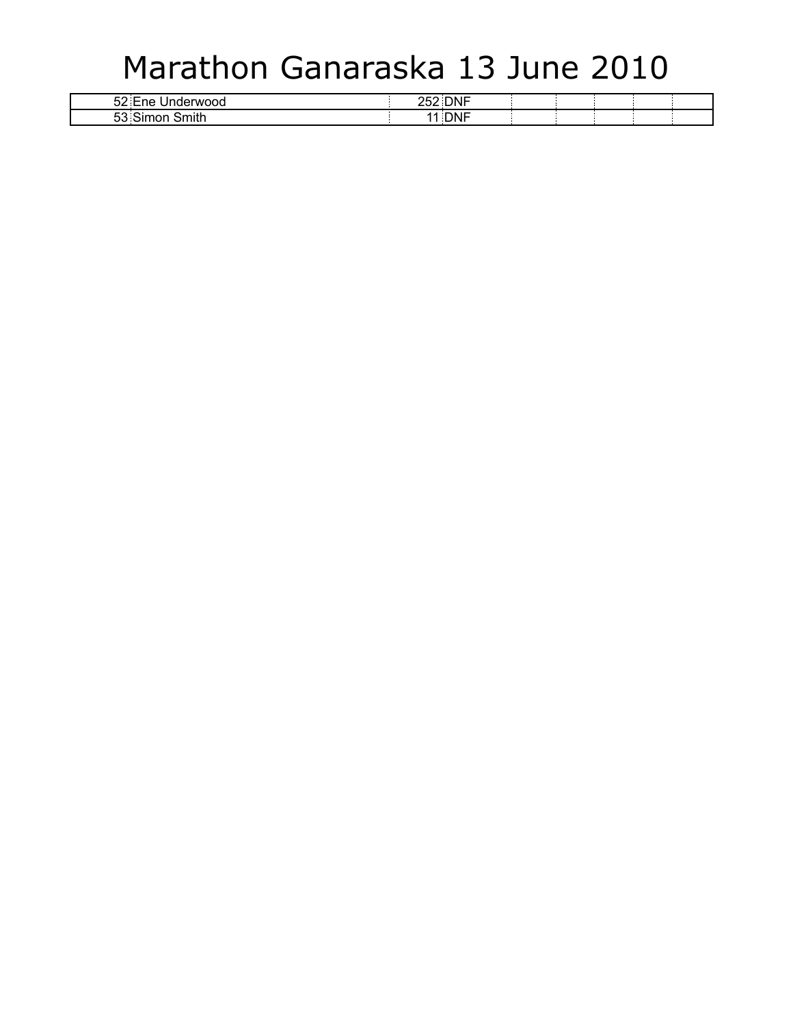## Marathon Ganaraska 13 June 2010

| $\sim$<br>ne<br>TWOOG<br>$\epsilon$ if<br>ےت | -----<br>$- - -$<br>– Ur<br>. . |  |  |  |
|----------------------------------------------|---------------------------------|--|--|--|
| $\sim$<br>$\sim$<br>.<br>ეე<br>ுபய…          | - -<br>71 V.                    |  |  |  |